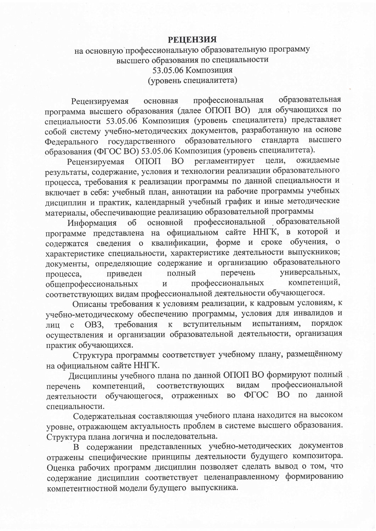## **РЕЦЕНЗИЯ**

## на основную профессиональную образовательную программу высшего образования по специальности 53.05.06 Композиция (уровень специалитета)

профессиональная образовательная основная Рецензируемая программа высшего образования (далее ОПОП ВО) для обучающихся по специальности 53.05.06 Композиция (уровень специалитета) представляет собой систему учебно-методических документов, разработанную на основе Федерального государственного образовательного стандарта высшего образования (ФГОС ВО) 53.05.06 Композиция (уровень специалитета).

ОПОП ВО регламентирует цели, ожидаемые Рецензируемая результаты, содержание, условия и технологии реализации образовательного процесса, требования к реализации программы по данной специальности и включает в себя: учебный план, аннотации на рабочие программы учебных дисциплин и практик, календарный учебный график и иные методические материалы, обеспечивающие реализацию образовательной программы

профессиональной образовательной основной Информация  $\overline{00}$ программе представлена на официальном сайте ННГК, в которой и содержатся сведения о квалификации, форме и сроке обучения, о характеристике специальности, характеристике деятельности выпускников; документы, определяющие содержание и организацию образовательного перечень универсальных, полный приведен процесса, компетенций, профессиональных общепрофессиональных  $\overline{\mathbf{M}}$ соответствующих видам профессиональной деятельности обучающегося.

Описаны требования к условиям реализации, к кадровым условиям, к учебно-методическому обеспечению программы, условия для инвалидов и вступительным испытаниям, порядок лиц с ОВЗ. требования  $\bf K$ осуществления и организации образовательной деятельности, организация практик обучающихся.

Структура программы соответствует учебному плану, размещённому на официальном сайте ННГК.

Дисциплины учебного плана по данной ОПОП ВО формируют полный профессиональной соответствующих видам перечень компетенций, ФГОС ВО по ланной деятельности обучающегося, отраженных во специальности.

Содержательная составляющая учебного плана находится на высоком уровне, отражающем актуальность проблем в системе высшего образования. Структура плана логична и последовательна.

В содержании представленных учебно-методических документов отражены специфические принципы деятельности будущего композитора. Оценка рабочих программ дисциплин позволяет сделать вывод о том, что содержание дисциплин соответствует целенаправленному формированию компетентностной модели будущего выпускника.